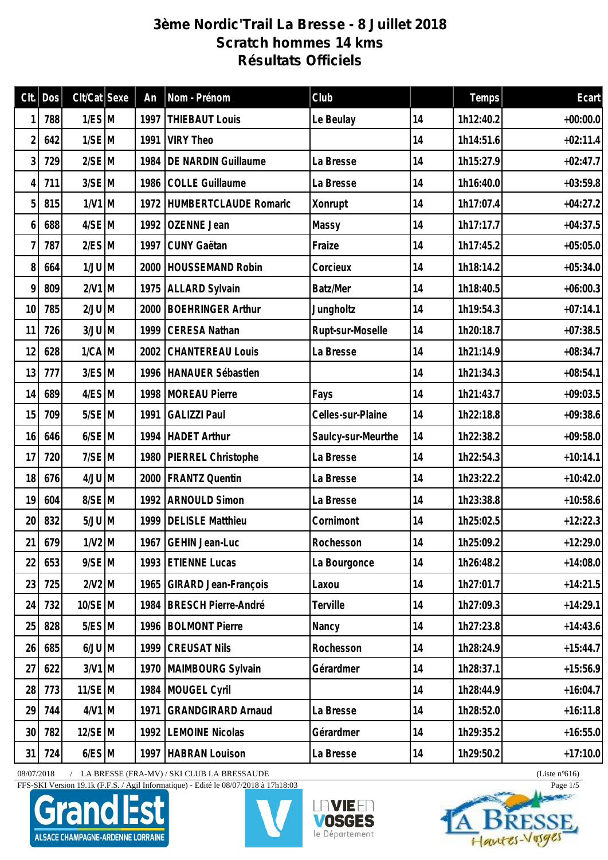## **3ème Nordic'Trail La Bresse - 8 Juillet 2018 Scratch hommes 14 kms Résultats Officiels**

| Clt.            | Dos    | $Clt/Cat$ Sexe        | An   | Nom - Prénom                | Club               |    | Temps     | Ecart      |
|-----------------|--------|-----------------------|------|-----------------------------|--------------------|----|-----------|------------|
|                 | 788    | $1/ES$ M              | 1997 | <b>THIEBAUT Louis</b>       | Le Beulay          | 14 | 1h12:40.2 | $+00:00.0$ |
| $\overline{2}$  | 642    | $1/SE$ M              | 1991 | <b>VIRY Theo</b>            |                    | 14 | 1h14:51.6 | $+02:11.4$ |
| 3               | 729    | $2/SE$ M              | 1984 | DE NARDIN Guillaume         | La Bresse          | 14 | 1h15:27.9 | $+02:47.7$ |
| 4               | 711    | $3/SE$ M              | 1986 | COLLE Guillaume             | La Bresse          | 14 | 1h16:40.0 | $+03:59.8$ |
| 5               | 815    | $1/V1$ M              |      | 1972 HUMBERTCLAUDE Romaric  | Xonrupt            | 14 | 1h17:07.4 | $+04:27.2$ |
| 6               | 688    | $4/SE$ M              | 1992 | OZENNE Jean                 | Massy              | 14 | 1h17:17.7 | $+04:37.5$ |
| 7               | 787    | $2/ES$ M              |      | 1997 CUNY Gaëtan            | Fraize             | 14 | 1h17:45.2 | $+05:05.0$ |
| 8               | 664    | $1/JU$ M              | 2000 | <b>HOUSSEMAND Robin</b>     | Corcieux           | 14 | 1h18:14.2 | $+05:34.0$ |
| 9               | 809    | $2/V1$ M              |      | 1975 ALLARD Sylvain         | Batz/Mer           | 14 | 1h18:40.5 | $+06:00.3$ |
| 10              | 785    | $2/JU$ M              | 2000 | <b>BOEHRINGER Arthur</b>    | Jungholtz          | 14 | 1h19:54.3 | $+07:14.1$ |
| 11              | 726    | $3/JU$ M              | 1999 | CERESA Nathan               | Rupt-sur-Moselle   | 14 | 1h20:18.7 | $+07:38.5$ |
| 12              | 628    | $1/CA$ M              | 2002 | <b>CHANTEREAU Louis</b>     | La Bresse          | 14 | 1h21:14.9 | $+08:34.7$ |
| 13              | 777    | $3/ES$ M              |      | 1996 HANAUER Sébastien      |                    | 14 | 1h21:34.3 | $+08:54.1$ |
| 14              | 689    | 4/ES M                | 1998 | <b>MOREAU Pierre</b>        | Fays               | 14 | 1h21:43.7 | $+09:03.5$ |
| 15              | 709    | $5/SE$ M              | 1991 | <b>GALIZZI Paul</b>         | Celles-sur-Plaine  | 14 | 1h22:18.8 | $+09:38.6$ |
| 16              | 646    | $6/SE$ M              |      | 1994 HADET Arthur           | Saulcy-sur-Meurthe | 14 | 1h22:38.2 | $+09:58.0$ |
| 17              | 720    | $7/SE$ M              | 1980 | PIERREL Christophe          | La Bresse          | 14 | 1h22:54.3 | $+10:14.1$ |
| 18              | 676    | $4/JU$ M              | 2000 | <b>FRANTZ Quentin</b>       | La Bresse          | 14 | 1h23:22.2 | $+10:42.0$ |
| 19              | 604    | 8/SE M                | 1992 | <b>ARNOULD Simon</b>        | La Bresse          | 14 | 1h23:38.8 | $+10:58.6$ |
| 20              | 832    | $5/JU$ M              |      | 1999   DELISLE Matthieu     | Cornimont          | 14 | 1h25:02.5 | $+12:22.3$ |
|                 | 21 679 | $1/N2$ M              |      | 1967 GEHIN Jean-Luc         | Rochesson          | 14 | 1h25:09.2 | $+12:29.0$ |
| 22              | 653    | $9/SE$ M              |      | 1993 ETIENNE Lucas          | La Bourgonce       | 14 | 1h26:48.2 | $+14:08.0$ |
| 23              | 725    | $2/N2$ M              | 1965 | <b>GIRARD Jean-François</b> | Laxou              | 14 | 1h27:01.7 | $+14:21.5$ |
| 24              | 732    | 10/SE M               | 1984 | BRESCH Pierre-André         | Terville           | 14 | 1h27:09.3 | $+14:29.1$ |
| 25              | 828    | $5/ES$ M              |      | 1996   BOLMONT Pierre       | Nancy              | 14 | 1h27:23.8 | $+14:43.6$ |
| 26              | 685    | $M$ UU $\overline{M}$ | 1999 | <b>CREUSAT Nils</b>         | Rochesson          | 14 | 1h28:24.9 | $+15:44.7$ |
| 27              | 622    | $3/V1$ M              |      | 1970   MAIMBOURG Sylvain    | Gérardmer          | 14 | 1h28:37.1 | $+15:56.9$ |
| 28              | 773    | $11/SE$ M             |      | 1984 MOUGEL Cyril           |                    | 14 | 1h28:44.9 | $+16:04.7$ |
| 29              | 744    | $4/V1$ M              | 1971 | <b>GRANDGIRARD Arnaud</b>   | La Bresse          | 14 | 1h28:52.0 | $+16:11.8$ |
| 30 <sup>°</sup> | 782    | 12/SE M               | 1992 | <b>LEMOINE Nicolas</b>      | Gérardmer          | 14 | 1h29:35.2 | $+16:55.0$ |
| 31              | 724    | $6/ES$ M              |      | 1997   HABRAN Louison       | La Bresse          | 14 | 1h29:50.2 | $+17:10.0$ |

08/07/2018 / LA BRESSE (FRA-MV) / SKI CLUB LA BRESSAUDE (Liste n°616)

FFS-SKI Version 19.1k (F.F.S. / Agil Informatique) - Edité le 08/07/2018 à 17h18:03 Page 1/5







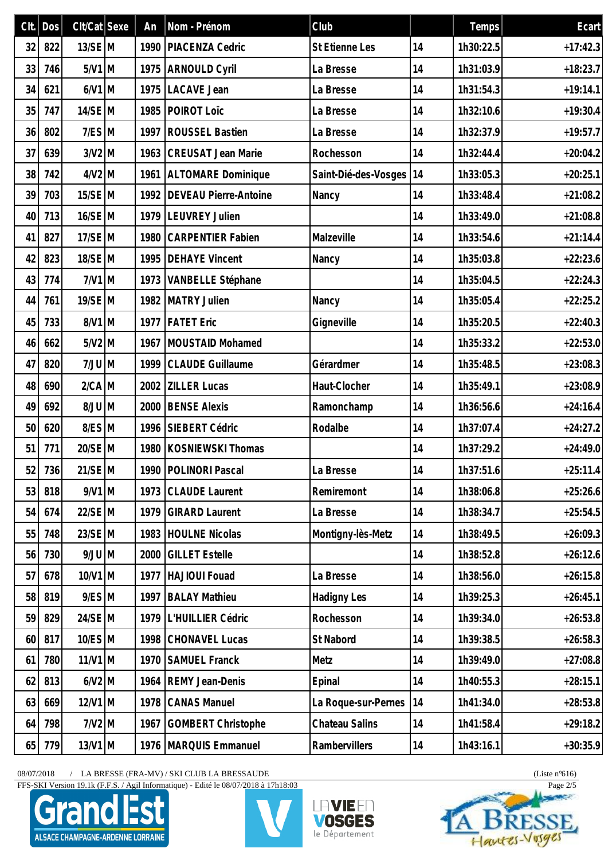| Clt. | Dos    | $Clt/Cat$ Sexe | An   | Nom - Prénom                 | Club                    |    | Temps     | Ecart      |
|------|--------|----------------|------|------------------------------|-------------------------|----|-----------|------------|
| 32   | 822    | $13/SE$ M      | 1990 | PIACENZA Cedric              | St Etienne Les          | 14 | 1h30:22.5 | $+17:42.3$ |
| 33   | 746    | $5/N1$ M       | 1975 | <b>ARNOULD Cyril</b>         | La Bresse               | 14 | 1h31:03.9 | $+18:23.7$ |
| 34   | 621    | $6/N1$ M       |      | 1975   LACAVE Jean           | La Bresse               | 14 | 1h31:54.3 | $+19:14.1$ |
| 35   | 747    | $14/SE$ M      | 1985 | POIROT Loïc                  | La Bresse               | 14 | 1h32:10.6 | $+19:30.4$ |
| 36   | 802    | $7/ES$ M       | 1997 | <b>ROUSSEL Bastien</b>       | La Bresse               | 14 | 1h32:37.9 | $+19:57.7$ |
| 37   | 639    | $3/N2$ M       | 1963 | <b>CREUSAT Jean Marie</b>    | Rochesson               | 14 | 1h32:44.4 | $+20:04.2$ |
| 38   | 742    | $4/N2$ M       |      | 1961 ALTOMARE Dominique      | Saint-Dié-des-Vosges 14 |    | 1h33:05.3 | $+20:25.1$ |
| 39   | 703    | 15/SE M        | 1992 | <b>DEVEAU Pierre-Antoine</b> | Nancy                   | 14 | 1h33:48.4 | $+21:08.2$ |
| 40   | 713    | $16/SE$ M      | 1979 | LEUVREY Julien               |                         | 14 | 1h33:49.0 | $+21:08.8$ |
| 41   | 827    | $17/SE$ M      | 1980 | <b>CARPENTIER Fabien</b>     | Malzeville              | 14 | 1h33:54.6 | $+21:14.4$ |
| 42   | 823    | 18/SE M        | 1995 | <b>DEHAYE Vincent</b>        | Nancy                   | 14 | 1h35:03.8 | $+22:23.6$ |
| 43   | 774    | $7/V1$ M       |      | 1973   VANBELLE Stéphane     |                         | 14 | 1h35:04.5 | $+22:24.3$ |
| 44   | 761    | 19/SE M        | 1982 | MATRY Julien                 | Nancy                   | 14 | 1h35:05.4 | $+22:25.2$ |
| 45   | 733    | $8/V1$ M       | 1977 | <b>FATET</b> Eric            | Gigneville              | 14 | 1h35:20.5 | $+22:40.3$ |
| 46   | 662    | $5/N2$ M       | 1967 | MOUSTAID Mohamed             |                         | 14 | 1h35:33.2 | $+22:53.0$ |
| 47   | 820    | $7/JU$ M       | 1999 | <b>CLAUDE Guillaume</b>      | Gérardmer               | 14 | 1h35:48.5 | $+23:08.3$ |
| 48   | 690    | $2/CA$ M       | 2002 | <b>ZILLER Lucas</b>          | Haut-Clocher            | 14 | 1h35:49.1 | $+23:08.9$ |
| 49   | 692    | $M$ UU $8$     | 2000 | <b>BENSE Alexis</b>          | Ramonchamp              | 14 | 1h36:56.6 | $+24:16.4$ |
| 50   | 620    | 8/ES M         | 1996 | SIEBERT Cédric               | Rodalbe                 | 14 | 1h37:07.4 | $+24:27.2$ |
| 51   | 771    | 20/SE M        | 1980 | KOSNIEWSKI Thomas            |                         | 14 | 1h37:29.2 | $+24:49.0$ |
|      | 52 736 | 21/SE M        |      | 1990   POLINORI Pascal       | La Bresse               | 14 | 1h37:51.6 | $+25:11.4$ |
| 53   | 818    | $9/N1$ M       |      | 1973 CLAUDE Laurent          | Remiremont              | 14 | 1h38:06.8 | $+25:26.6$ |
| 54   | 674    | 22/SE M        | 1979 | <b>GIRARD Laurent</b>        | La Bresse               | 14 | 1h38:34.7 | $+25:54.5$ |
| 55   | 748    | 23/SE M        | 1983 | <b>HOULNE Nicolas</b>        | Montigny-lès-Metz       | 14 | 1h38:49.5 | $+26:09.3$ |
| 56   | 730    | $9/JU$ M       | 2000 | <b>GILLET Estelle</b>        |                         | 14 | 1h38:52.8 | $+26:12.6$ |
| 57   | 678    | 10/V1 M        | 1977 | HAJIOUI Fouad                | La Bresse               | 14 | 1h38:56.0 | $+26:15.8$ |
| 58   | 819    | $9/ES$ M       | 1997 | <b>BALAY Mathieu</b>         | <b>Hadigny Les</b>      | 14 | 1h39:25.3 | $+26:45.1$ |
| 59   | 829    | 24/SE M        | 1979 | L'HUILLIER Cédric            | Rochesson               | 14 | 1h39:34.0 | $+26:53.8$ |
| 60   | 817    | $10/ES$ M      | 1998 | <b>CHONAVEL Lucas</b>        | St Nabord               | 14 | 1h39:38.5 | $+26:58.3$ |
| 61   | 780    | $11/V1$ M      | 1970 | <b>SAMUEL Franck</b>         | Metz                    | 14 | 1h39:49.0 | $+27:08.8$ |
| 62   | 813    | $6/N2$ M       | 1964 | <b>REMY Jean-Denis</b>       | Epinal                  | 14 | 1h40:55.3 | $+28:15.1$ |
| 63   | 669    | $12/V1$ M      | 1978 | <b>CANAS Manuel</b>          | La Roque-sur-Pernes     | 14 | 1h41:34.0 | $+28:53.8$ |
| 64   | 798    | $7/N2$ M       | 1967 | <b>GOMBERT Christophe</b>    | Chateau Salins          | 14 | 1h41:58.4 | $+29:18.2$ |
| 65   | 779    | $13/V1$ M      | 1976 | MARQUIS Emmanuel             | Rambervillers           | 14 | 1h43:16.1 | $+30:35.9$ |

FFS-SKI Version 19.1k (F.F.S. / Agil Informatique) - Edité le 08/07/2018 à 17h18:03 Page 2/5







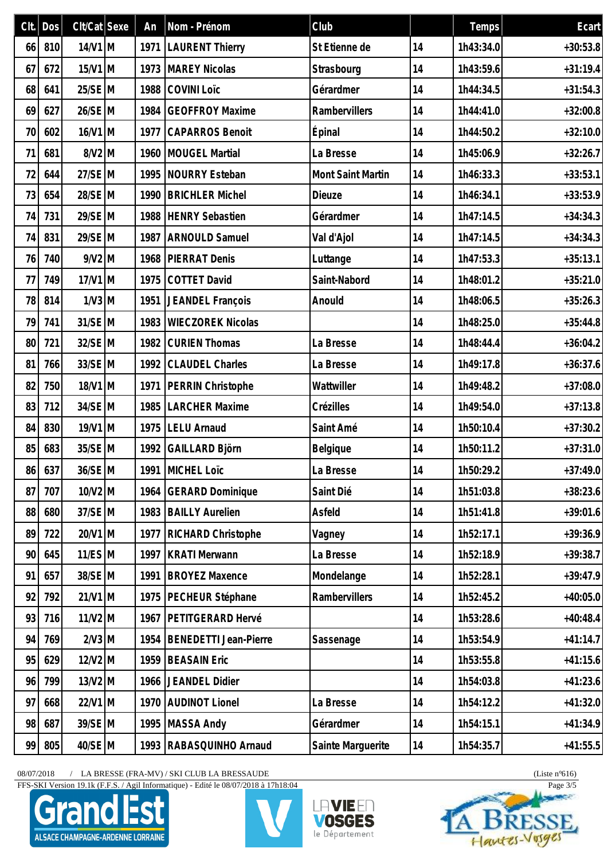| Clt.            | Dos    | $Clt/Cat$ Sexe | An   | Nom - Prénom                 | Club                     |    | Temps     | Ecart      |
|-----------------|--------|----------------|------|------------------------------|--------------------------|----|-----------|------------|
| 66              | 810    | $14/V1$ M      |      | 1971   LAURENT Thierry       | St Etienne de            | 14 | 1h43:34.0 | $+30:53.8$ |
| 67              | 672    | $15/V1$ M      | 1973 | <b>MAREY Nicolas</b>         | Strasbourg               | 14 | 1h43:59.6 | $+31:19.4$ |
| 68              | 641    | 25/SE M        | 1988 | COVINI Loïc                  | Gérardmer                | 14 | 1h44:34.5 | $+31:54.3$ |
| 69              | 627    | 26/SE M        | 1984 | <b>GEOFFROY Maxime</b>       | Rambervillers            | 14 | 1h44:41.0 | $+32:00.8$ |
| 70              | 602    | $16/N1$ M      | 1977 | CAPARROS Benoit              | Épinal                   | 14 | 1h44:50.2 | $+32:10.0$ |
| 71              | 681    | $8/V2$ M       | 1960 | MOUGEL Martial               | La Bresse                | 14 | 1h45:06.9 | $+32:26.7$ |
| 72              | 644    | 27/SE M        |      | 1995 NOURRY Esteban          | <b>Mont Saint Martin</b> | 14 | 1h46:33.3 | $+33:53.1$ |
| 73              | 654    | 28/SE M        | 1990 | <b>BRICHLER Michel</b>       | Dieuze                   | 14 | 1h46:34.1 | $+33:53.9$ |
| 74              | 731    | 29/SE M        | 1988 | <b>HENRY Sebastien</b>       | Gérardmer                | 14 | 1h47:14.5 | $+34:34.3$ |
| 74              | 831    | 29/SE M        | 1987 | <b>ARNOULD Samuel</b>        | Val d'Ajol               | 14 | 1h47:14.5 | $+34:34.3$ |
| 76              | 740    | $9/N2$ M       | 1968 | <b>PIERRAT Denis</b>         | Luttange                 | 14 | 1h47:53.3 | $+35:13.1$ |
| 77              | 749    | $17/V1$ M      |      | 1975 COTTET David            | Saint-Nabord             | 14 | 1h48:01.2 | $+35:21.0$ |
| 78              | 814    | $1/N3$ M       | 1951 | JEANDEL François             | Anould                   | 14 | 1h48:06.5 | $+35:26.3$ |
| 79              | 741    | 31/SE M        | 1983 | <b>WIECZOREK Nicolas</b>     |                          | 14 | 1h48:25.0 | $+35:44.8$ |
| 80 <sup>°</sup> | 721    | 32/SE M        | 1982 | <b>CURIEN Thomas</b>         | La Bresse                | 14 | 1h48:44.4 | $+36:04.2$ |
| 81              | 766    | 33/SE M        |      | 1992 CLAUDEL Charles         | La Bresse                | 14 | 1h49:17.8 | $+36:37.6$ |
| 82              | 750    | $18/V1$ M      | 1971 | PERRIN Christophe            | Wattwiller               | 14 | 1h49:48.2 | $+37:08.0$ |
| 83              | 712    | 34/SE M        | 1985 | <b>LARCHER Maxime</b>        | Crézilles                | 14 | 1h49:54.0 | $+37:13.8$ |
| 84              | 830    | $19/V1$ M      |      | 1975   LELU Arnaud           | Saint Amé                | 14 | 1h50:10.4 | $+37:30.2$ |
| 85              | 683    | 35/SE M        | 1992 | GAILLARD Björn               | Belgique                 | 14 | 1h50:11.2 | $+37:31.0$ |
|                 | 86 637 | 36/SE M        |      | 1991 MICHEL Loïc             | La Bresse                | 14 | 1h50:29.2 | $+37:49.0$ |
| 87              | 707    | 10/V2 M        | 1964 | <b>GERARD Dominique</b>      | Saint Dié                | 14 | 1h51:03.8 | $+38:23.6$ |
| 88              | 680    | 37/SE M        | 1983 | <b>BAILLY Aurelien</b>       | Asfeld                   | 14 | 1h51:41.8 | $+39:01.6$ |
| 89              | 722    | $20/V1$ M      | 1977 | RICHARD Christophe           | Vagney                   | 14 | 1h52:17.1 | $+39:36.9$ |
| 90              | 645    | $11/ES$ M      | 1997 | <b>KRATI Merwann</b>         | La Bresse                | 14 | 1h52:18.9 | $+39:38.7$ |
| 91              | 657    | 38/SE M        | 1991 | <b>BROYEZ Maxence</b>        | Mondelange               | 14 | 1h52:28.1 | $+39:47.9$ |
| 92              | 792    | $21/V1$ M      | 1975 | PECHEUR Stéphane             | Rambervillers            | 14 | 1h52:45.2 | $+40:05.0$ |
| 93              | 716    | $11/V2$ M      | 1967 | PETITGERARD Hervé            |                          | 14 | 1h53:28.6 | $+40:48.4$ |
| 94              | 769    | $2/N3$ M       | 1954 | <b>BENEDETTI Jean-Pierre</b> | Sassenage                | 14 | 1h53:54.9 | $+41:14.7$ |
| 95              | 629    | $12/V2$ M      | 1959 | <b>BEASAIN Eric</b>          |                          | 14 | 1h53:55.8 | $+41:15.6$ |
| 96              | 799    | $13/V2$ M      | 1966 | JEANDEL Didier               |                          | 14 | 1h54:03.8 | $+41:23.6$ |
| 97              | 668    | $22/V1$ M      | 1970 | <b>AUDINOT Lionel</b>        | La Bresse                | 14 | 1h54:12.2 | $+41:32.0$ |
| 98              | 687    | 39/SE M        | 1995 | <b>MASSA Andy</b>            | Gérardmer                | 14 | 1h54:15.1 | $+41:34.9$ |
| 99              | 805    | 40/SE M        | 1993 | RABASQUINHO Arnaud           | Sainte Marguerite        | 14 | 1h54:35.7 | $+41:55.5$ |

FFS-SKI Version 19.1k (F.F.S. / Agil Informatique) - Edité le 08/07/2018 à 17h18:04 Page 3/5







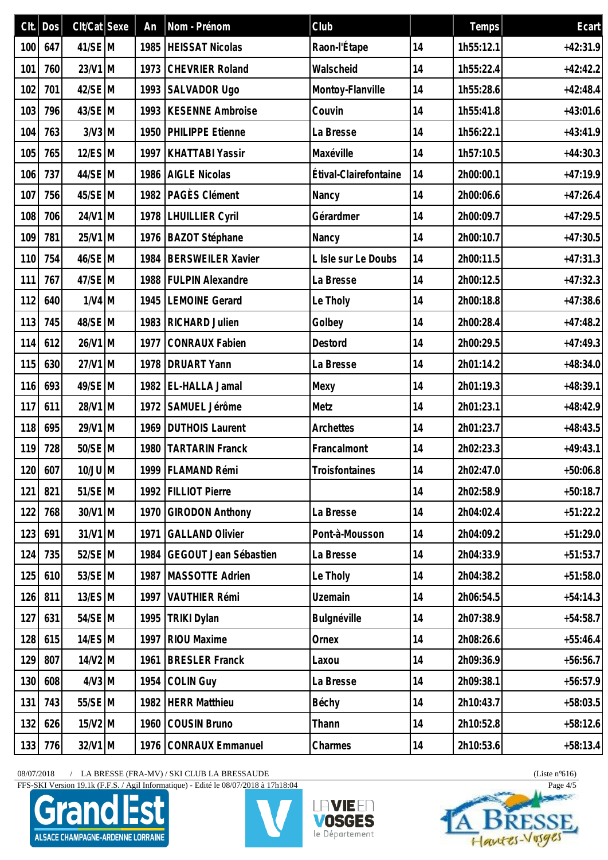|     | $Clt.$ Dos | $Clt/Cat$ Sexe | An   | Nom - Prénom                 | Club                  |    | Temps     | Ecart      |
|-----|------------|----------------|------|------------------------------|-----------------------|----|-----------|------------|
| 100 | 647        | 41/SE M        |      | 1985   HEISSAT Nicolas       | Raon-l'Étape          | 14 | 1h55:12.1 | $+42:31.9$ |
| 101 | 760        | 23/V1 M        | 1973 | <b>CHEVRIER Roland</b>       | Walscheid             | 14 | 1h55:22.4 | $+42:42.2$ |
| 102 | 701        | $42/SE$ M      |      | 1993 SALVADOR Ugo            | Montoy-Flanville      | 14 | 1h55:28.6 | $+42:48.4$ |
| 103 | 796        | 43/SE M        | 1993 | <b>KESENNE Ambroise</b>      | Couvin                | 14 | 1h55:41.8 | $+43:01.6$ |
| 104 | 763        | $3/N3$ M       |      | 1950 PHILIPPE Etienne        | La Bresse             | 14 | 1h56:22.1 | $+43:41.9$ |
| 105 | 765        | $12$ /ES M     | 1997 | <b>KHATTABI Yassir</b>       | Maxéville             | 14 | 1h57:10.5 | $+44:30.3$ |
| 106 | 737        | 44/SE M        | 1986 | <b>AIGLE Nicolas</b>         | Étival-Clairefontaine | 14 | 2h00:00.1 | $+47:19.9$ |
| 107 | 756        | 45/SE M        |      | 1982   PAGÈS Clément         | Nancy                 | 14 | 2h00:06.6 | $+47:26.4$ |
| 108 | 706        | 24/V1 M        | 1978 | <b>LHUILLIER Cyril</b>       | Gérardmer             | 14 | 2h00:09.7 | $+47:29.5$ |
| 109 | 781        | 25/V1 M        | 1976 | BAZOT Stéphane               | Nancy                 | 14 | 2h00:10.7 | $+47:30.5$ |
| 110 | 754        | 46/SE M        | 1984 | <b>BERSWEILER Xavier</b>     | L Isle sur Le Doubs   | 14 | 2h00:11.5 | $+47:31.3$ |
| 111 | 767        | 47/SE M        |      | 1988   FULPIN Alexandre      | La Bresse             | 14 | 2h00:12.5 | $+47:32.3$ |
| 112 | 640        | $1/V4$ M       | 1945 | <b>LEMOINE Gerard</b>        | Le Tholy              | 14 | 2h00:18.8 | $+47:38.6$ |
| 113 | 745        | 48/SE M        | 1983 | <b>RICHARD Julien</b>        | Golbey                | 14 | 2h00:28.4 | $+47:48.2$ |
| 114 | 612        | 26/V1 M        | 1977 | <b>CONRAUX Fabien</b>        | Destord               | 14 | 2h00:29.5 | $+47:49.3$ |
| 115 | 630        | 27/V1 M        | 1978 | <b>DRUART Yann</b>           | La Bresse             | 14 | 2h01:14.2 | $+48:34.0$ |
| 116 | 693        | 49/SE M        |      | 1982 EL-HALLA Jamal          | Mexy                  | 14 | 2h01:19.3 | $+48:39.1$ |
| 117 | 611        | 28/V1 M        | 1972 | SAMUEL Jérôme                | Metz                  | 14 | 2h01:23.1 | $+48:42.9$ |
| 118 | 695        | 29/V1 M        |      | 1969   DUTHOIS Laurent       | Archettes             | 14 | 2h01:23.7 | $+48:43.5$ |
| 119 | 728        | 50/SE M        | 1980 | <b>TARTARIN Franck</b>       | Francalmont           | 14 | 2h02:23.3 | $+49:43.1$ |
|     | 120 607    | $10/JU$ M      |      | 1999   FLAMAND Rémi          | Troisfontaines        | 14 | 2h02:47.0 | $+50:06.8$ |
| 121 | 821        | 51/SE M        | 1992 | <b>FILLIOT Pierre</b>        |                       | 14 | 2h02:58.9 | $+50:18.7$ |
| 122 | 768        | 30/V1 M        | 1970 | <b>GIRODON Anthony</b>       | La Bresse             | 14 | 2h04:02.4 | $+51:22.2$ |
| 123 | 691        | 31/V1 M        | 1971 | <b>GALLAND Olivier</b>       | Pont-à-Mousson        | 14 | 2h04:09.2 | $+51:29.0$ |
| 124 | 735        | 52/SE M        | 1984 | <b>GEGOUT Jean Sébastien</b> | La Bresse             | 14 | 2h04:33.9 | $+51:53.7$ |
| 125 | 610        | 53/SE M        | 1987 | MASSOTTE Adrien              | Le Tholy              | 14 | 2h04:38.2 | $+51:58.0$ |
| 126 | 811        | $13/ES$ M      | 1997 | <b>VAUTHIER Rémi</b>         | <b>Uzemain</b>        | 14 | 2h06:54.5 | $+54:14.3$ |
| 127 | 631        | 54/SE M        | 1995 | <b>TRIKI Dylan</b>           | Bulgnéville           | 14 | 2h07:38.9 | $+54:58.7$ |
| 128 | 615        | $14/ES$ M      | 1997 | <b>RIOU Maxime</b>           | Ornex                 | 14 | 2h08:26.6 | $+55:46.4$ |
| 129 | 807        | $14/V2$ M      | 1961 | <b>BRESLER Franck</b>        | Laxou                 | 14 | 2h09:36.9 | $+56:56.7$ |
| 130 | 608        | $4/N3$ M       | 1954 | <b>COLIN Guy</b>             | La Bresse             | 14 | 2h09:38.1 | $+56:57.9$ |
| 131 | 743        | 55/SE M        | 1982 | <b>HERR Matthieu</b>         | Béchy                 | 14 | 2h10:43.7 | $+58:03.5$ |
| 132 | 626        | $15/V2$ M      | 1960 | <b>COUSIN Bruno</b>          | Thann                 | 14 | 2h10:52.8 | $+58:12.6$ |
| 133 | 776        | 32/V1 M        | 1976 | <b>CONRAUX Emmanuel</b>      | Charmes               | 14 | 2h10:53.6 | $+58:13.4$ |

FFS-SKI Version 19.1k (F.F.S. / Agil Informatique) - Edité le 08/07/2018 à 17h18:04 Page 4/5